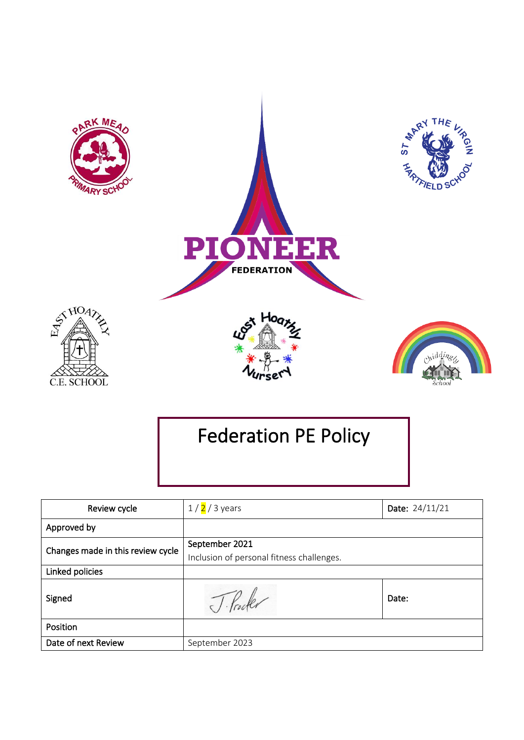

# Federation PE Policy

| Review cycle                      | $1/2/3$ years                             | Date: 24/11/21 |
|-----------------------------------|-------------------------------------------|----------------|
| Approved by                       |                                           |                |
| Changes made in this review cycle | September 2021                            |                |
|                                   | Inclusion of personal fitness challenges. |                |
| Linked policies                   |                                           |                |
| Signed                            |                                           | Date:          |
| Position                          |                                           |                |
| Date of next Review               | September 2023                            |                |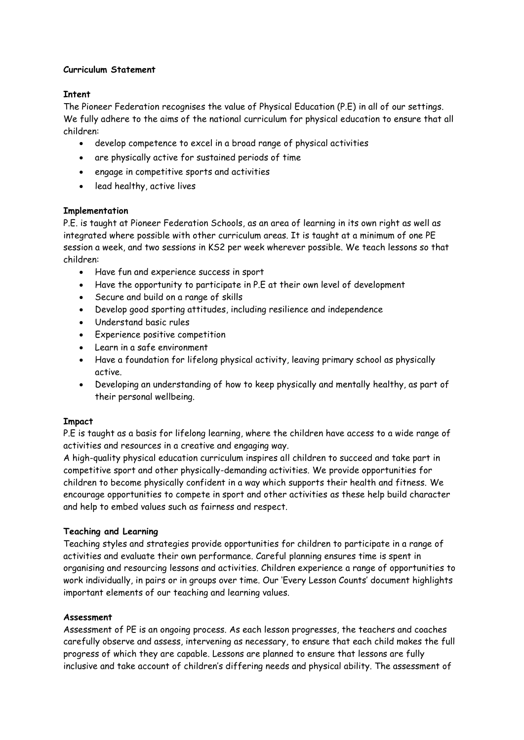# **Curriculum Statement**

## **Intent**

The Pioneer Federation recognises the value of Physical Education (P.E) in all of our settings. We fully adhere to the aims of the national curriculum for physical education to ensure that all children:

- develop competence to excel in a broad range of physical activities
- are physically active for sustained periods of time
- engage in competitive sports and activities
- lead healthy, active lives

# **Implementation**

P.E. is taught at Pioneer Federation Schools, as an area of learning in its own right as well as integrated where possible with other curriculum areas. It is taught at a minimum of one PE session a week, and two sessions in KS2 per week wherever possible. We teach lessons so that children:

- Have fun and experience success in sport
- Have the opportunity to participate in P.E at their own level of development
- Secure and build on a range of skills
- Develop good sporting attitudes, including resilience and independence
- Understand basic rules
- Experience positive competition
- Learn in a safe environment
- Have a foundation for lifelong physical activity, leaving primary school as physically active.
- Developing an understanding of how to keep physically and mentally healthy, as part of their personal wellbeing.

# **Impact**

P.E is taught as a basis for lifelong learning, where the children have access to a wide range of activities and resources in a creative and engaging way.

A high-quality physical education curriculum inspires all children to succeed and take part in competitive sport and other physically-demanding activities. We provide opportunities for children to become physically confident in a way which supports their health and fitness. We encourage opportunities to compete in sport and other activities as these help build character and help to embed values such as fairness and respect.

# **Teaching and Learning**

Teaching styles and strategies provide opportunities for children to participate in a range of activities and evaluate their own performance. Careful planning ensures time is spent in organising and resourcing lessons and activities. Children experience a range of opportunities to work individually, in pairs or in groups over time. Our 'Every Lesson Counts' document highlights important elements of our teaching and learning values.

## **Assessment**

Assessment of PE is an ongoing process. As each lesson progresses, the teachers and coaches carefully observe and assess, intervening as necessary, to ensure that each child makes the full progress of which they are capable. Lessons are planned to ensure that lessons are fully inclusive and take account of children's differing needs and physical ability. The assessment of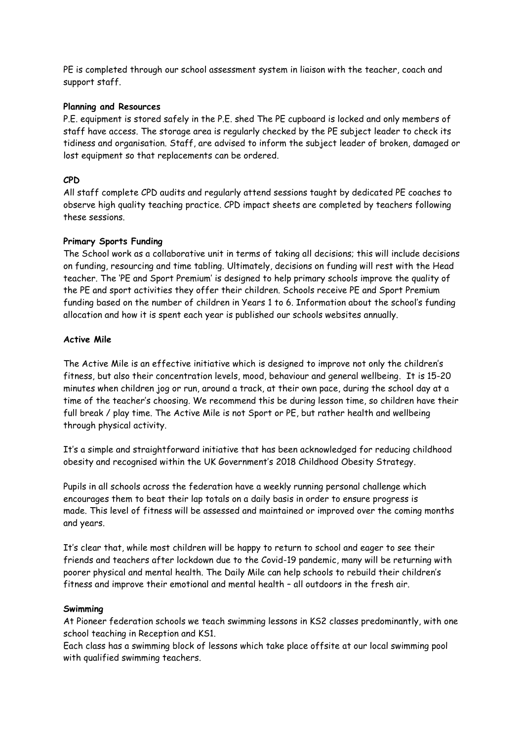PE is completed through our school assessment system in liaison with the teacher, coach and support staff.

## **Planning and Resources**

P.E. equipment is stored safely in the P.E. shed The PE cupboard is locked and only members of staff have access. The storage area is regularly checked by the PE subject leader to check its tidiness and organisation. Staff, are advised to inform the subject leader of broken, damaged or lost equipment so that replacements can be ordered.

# **CPD**

All staff complete CPD audits and regularly attend sessions taught by dedicated PE coaches to observe high quality teaching practice. CPD impact sheets are completed by teachers following these sessions.

# **Primary Sports Funding**

The School work as a collaborative unit in terms of taking all decisions; this will include decisions on funding, resourcing and time tabling. Ultimately, decisions on funding will rest with the Head teacher. The 'PE and Sport Premium' is designed to help primary schools improve the quality of the PE and sport activities they offer their children. Schools receive PE and Sport Premium funding based on the number of children in Years 1 to 6. Information about the school's funding allocation and how it is spent each year is published our schools websites annually.

# **Active Mile**

The Active Mile is an effective initiative which is designed to improve not only the children's fitness, but also their concentration levels, mood, behaviour and general wellbeing. It is 15-20 minutes when children jog or run, around a track, at their own pace, during the school day at a time of the teacher's choosing. We recommend this be during lesson time, so children have their full break / play time. The Active Mile is not Sport or PE, but rather health and wellbeing through physical activity.

It's a simple and straightforward initiative that has been acknowledged for [reducing childhood](http://www.thedailymile.co.uk/research)  [obesity](http://www.thedailymile.co.uk/research) and recognised within the [UK Government's 2018 Childhood Obesity Strategy](https://thedailymile.co.uk/media-centre/news/press-release-lets-get-all-british-primary-school-children-running-a-mile-every-day/).

Pupils in all schools across the federation have a weekly running personal challenge which encourages them to beat their lap totals on a daily basis in order to ensure progress is made. This level of fitness will be assessed and maintained or improved over the coming months and years.

It's clear that, while most children will be happy to return to school and eager to see their friends and teachers after lockdown due to the Covid-19 pandemic, many will be returning with poorer physical and mental health. The Daily Mile can help schools to rebuild their children's fitness and improve their emotional and mental health – all outdoors in the fresh air.

## **Swimming**

At Pioneer federation schools we teach swimming lessons in KS2 classes predominantly, with one school teaching in Reception and KS1.

Each class has a swimming block of lessons which take place offsite at our local swimming pool with qualified swimming teachers.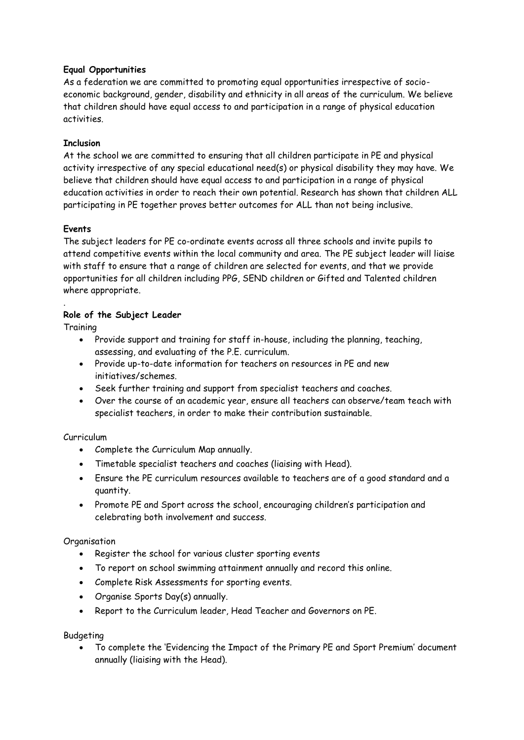# **Equal Opportunities**

As a federation we are committed to promoting equal opportunities irrespective of socioeconomic background, gender, disability and ethnicity in all areas of the curriculum. We believe that children should have equal access to and participation in a range of physical education activities.

# **Inclusion**

At the school we are committed to ensuring that all children participate in PE and physical activity irrespective of any special educational need(s) or physical disability they may have. We believe that children should have equal access to and participation in a range of physical education activities in order to reach their own potential. Research has shown that children ALL participating in PE together proves better outcomes for ALL than not being inclusive.

# **Events**

The subject leaders for PE co-ordinate events across all three schools and invite pupils to attend competitive events within the local community and area. The PE subject leader will liaise with staff to ensure that a range of children are selected for events, and that we provide opportunities for all children including PPG, SEND children or Gifted and Talented children where appropriate.

# **Role of the Subject Leader**

**Training** 

.

- Provide support and training for staff in-house, including the planning, teaching, assessing, and evaluating of the P.E. curriculum.
- Provide up-to-date information for teachers on resources in PE and new initiatives/schemes.
- Seek further training and support from specialist teachers and coaches.
- Over the course of an academic year, ensure all teachers can observe/team teach with specialist teachers, in order to make their contribution sustainable.

# Curriculum

- Complete the Curriculum Map annually.
- Timetable specialist teachers and coaches (liaising with Head).
- Ensure the PE curriculum resources available to teachers are of a good standard and a quantity.
- Promote PE and Sport across the school, encouraging children's participation and celebrating both involvement and success.

# **Organisation**

- Register the school for various cluster sporting events
- To report on school swimming attainment annually and record this online.
- Complete Risk Assessments for sporting events.
- Organise Sports Day(s) annually.
- Report to the Curriculum leader, Head Teacher and Governors on PE.

# Budgeting

• To complete the 'Evidencing the Impact of the Primary PE and Sport Premium' document annually (liaising with the Head).